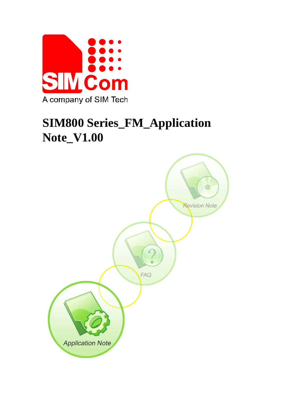

# **SIM800 Series\_FM\_Application Note\_V1.00**

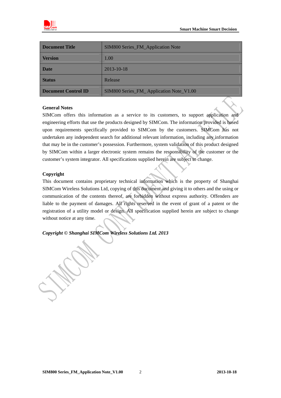

| Document Title      | SIM800 Series_FM_Application Note       |  |
|---------------------|-----------------------------------------|--|
| <b>Version</b>      | 1.00                                    |  |
| <b>Date</b>         | 2013-10-18                              |  |
| <b>Status</b>       | Release                                 |  |
| Document Control ID | SIM800 Series_FM_Application Note_V1.00 |  |

#### **General Notes**

SIMCom offers this information as a service to its customers, to support application and engineering efforts that use the products designed by SIMCom. The information provided is based upon requirements specifically provided to SIMCom by the customers. SIMCom has not undertaken any independent search for additional relevant information, including any information that may be in the customer's possession. Furthermore, system validation of this product designed by SIMCom within a larger electronic system remains the responsibility of the customer or the customer's system integrator. All specifications supplied herein are subject to change.

#### **Copyright**

This document contains proprietary technical information which is the property of Shanghai SIMCom Wireless Solutions Ltd, copying of this document and giving it to others and the using or communication of the contents thereof, are forbidden without express authority. Offenders are liable to the payment of damages. All rights reserved in the event of grant of a patent or the registration of a utility model or design. All specification supplied herein are subject to change without notice at any time.

*Copyright © Shanghai SIMCom Wireless Solutions Ltd. 2013*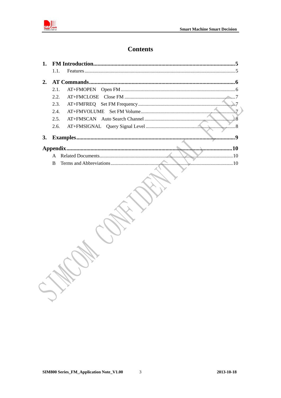

# **Contents**

|    | 1.1. |            |
|----|------|------------|
| 2. |      |            |
|    | 2.1. |            |
|    | 2.2. |            |
|    | 2.3. |            |
|    | 2.4. | $\sqrt{7}$ |
|    | 2.5. |            |
|    | 2.6. |            |
| 3. |      | Q          |
|    |      |            |
|    |      | 10         |
|    | R    |            |
|    |      |            |

 $\overline{3}$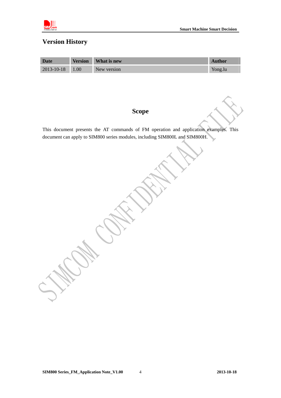

# **Version History**

| Date                  | <b>Version</b> | What is new | <b>Author</b> |
|-----------------------|----------------|-------------|---------------|
| $2013 - 10 - 18$ 1.00 |                | New version | Yong.lu       |

## **Scope**

This document presents the AT commands of FM operation and application examples. This document can apply to SIM800 series modules, including SIM800L and SIM800H.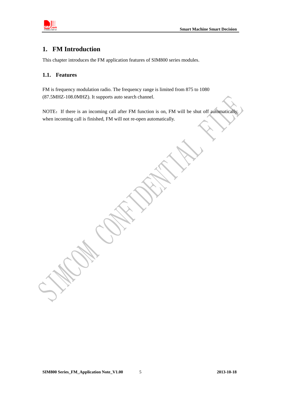<span id="page-4-0"></span>

## **1. FM Introduction**

This chapter introduces the FM application features of SIM800 series modules.

#### **1.1. Features**

FM is frequency modulation radio. The frequency range is limited from 875 to 1080 (87.5MHZ-108.0MHZ). It supports auto search channel.

NOTE: If there is an incoming call after FM function is on, FM will be shut off automatically when incoming call is finished, FM will not re-open automatically.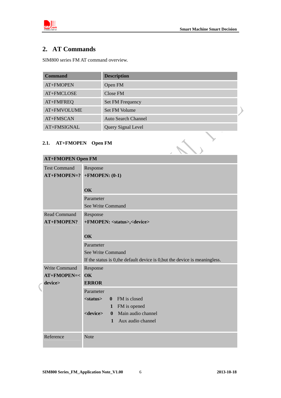<span id="page-5-0"></span>

# **2. AT Commands**

SIM800 series FM AT command overview.

| <b>Command</b> | <b>Description</b>                             |
|----------------|------------------------------------------------|
| AT+FMOPEN      | Open FM                                        |
| AT+FMCLOSE     | Close FM                                       |
| AT+FMFREQ      | <b>Set FM Frequency</b>                        |
| AT+FMVOLUME    | Set FM Volume                                  |
| AT+FMSCAN      | <b>Auto Search Channel</b>                     |
| AT+FMSIGNAL    | Query Signal Level<br>$\overline{\phantom{a}}$ |

## **2.1. AT+FMOPEN Open FM**

| 2.1. AT+FMOPEN Open FM                            |                                                                                                                                                                                                        |
|---------------------------------------------------|--------------------------------------------------------------------------------------------------------------------------------------------------------------------------------------------------------|
| <b>AT+FMOPEN Open FM</b>                          |                                                                                                                                                                                                        |
| <b>Test Command</b><br>$AT+FMOPEN=?$              | Response<br>$+$ FMOPEN: $(0-1)$<br>OK                                                                                                                                                                  |
|                                                   | Parameter<br>See Write Command                                                                                                                                                                         |
| <b>Read Command</b><br><b>AT+FMOPEN?</b>          | Response<br>+FMOPEN: <status>,<device><br/>OK</device></status>                                                                                                                                        |
|                                                   | Parameter<br>See Write Command<br>If the status is 0, the default device is 0, but the device is meaningless.                                                                                          |
| Write Command<br><b>AT+FMOPEN=&lt;</b><br>device> | Response<br>$\overline{\text{OK}}$<br><b>ERROR</b>                                                                                                                                                     |
|                                                   | Parameter<br>FM is closed<br>$<$ status $>$<br>$\mathbf{0}$<br>1 FM is opened<br>Main audio channel<br><device><br/><math>\mathbf{0}</math><br/>Aux audio channel<br/><math>\mathbf{1}</math></device> |
| Reference                                         | Note                                                                                                                                                                                                   |

 $\overline{\mathcal{L}}$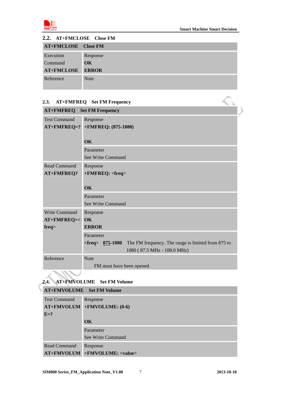<span id="page-6-0"></span>

| 2.2. AT+FMCLOSE Close FM   |                        |
|----------------------------|------------------------|
| <b>AT+FMCLOSE</b> Close FM |                        |
| Execution                  | Response               |
| Command                    | $\overline{\text{OK}}$ |
| <b>AT+FMCLOSE</b>          | <b>ERROR</b>           |
| Reference                  | <b>Note</b>            |

## **2.3. AT+FMFREQ Set FM Frequency**

| AT+FMFREQ Set FM Frequency<br>2.3. |                                                                                                           |  |  |
|------------------------------------|-----------------------------------------------------------------------------------------------------------|--|--|
| <b>AT+FMFREQ</b> Set FM Frequency  |                                                                                                           |  |  |
| <b>Test Command</b>                | Response                                                                                                  |  |  |
|                                    | AT+FMFREQ=? +FMFREQ: (875-1080)                                                                           |  |  |
|                                    | <b>OK</b>                                                                                                 |  |  |
|                                    | Parameter                                                                                                 |  |  |
|                                    | See Write Command                                                                                         |  |  |
| <b>Read Command</b>                | Response                                                                                                  |  |  |
| AT+FMFREQ?                         | +FMFREQ: <freq></freq>                                                                                    |  |  |
|                                    | <b>OK</b>                                                                                                 |  |  |
| Parameter                          |                                                                                                           |  |  |
|                                    | See Write Command                                                                                         |  |  |
| <b>Write Command</b>               | Response                                                                                                  |  |  |
| AT+FMFREQ=<                        | <b>OK</b>                                                                                                 |  |  |
| freq                               | <b>ERROR</b>                                                                                              |  |  |
|                                    | Parameter                                                                                                 |  |  |
|                                    | The FM frequency. The range is limited from 875 to<br>$<$ freq $>875-1080$<br>1080 (87.5 MHz - 108.0 MHz) |  |  |
| Reference                          | <b>Note</b>                                                                                               |  |  |
|                                    | FM must have been opened.                                                                                 |  |  |

#### **2.4. AT+FMVOLUME Set FM Volume**

## **AT+FMVOLUME Set FM Volume**

| <b>Test Command</b> | Response                              |
|---------------------|---------------------------------------|
|                     | $AT+FMVOLUM$ +FMVOLUME: (0-6)         |
| $E=?$               |                                       |
|                     | OK                                    |
|                     | Parameter                             |
|                     | See Write Command                     |
| Read Command        | Response                              |
|                     | AT+FMVOLUM +FMVOLUME: <value></value> |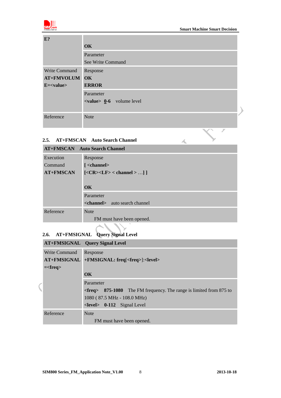<span id="page-7-0"></span>

 $\overline{z}$ 

 $\blacktriangle$ 

| E?             |                                            |
|----------------|--------------------------------------------|
|                | <b>OK</b>                                  |
|                | Parameter                                  |
|                | See Write Command                          |
| Write Command  | Response                                   |
| AT+FMVOLUM OK  |                                            |
| $E = < value>$ | <b>ERROR</b>                               |
|                | Parameter                                  |
|                | $\langle$ value $\rangle$ 0.6 volume level |
|                |                                            |
| Reference      | <b>Note</b>                                |
|                |                                            |

#### **2.5. AT+FMSCAN Auto Search Channel**

| <b>AT+FMSCAN</b> Auto Search Channel |                                           |  |
|--------------------------------------|-------------------------------------------|--|
| Execution                            | Response                                  |  |
| Command                              | $\mathcal{L}$ <channel></channel>         |  |
| <b>AT+FMSCAN</b>                     | $[<\text{CR}>\text{LLF}>$ < channel $>$ ] |  |
|                                      |                                           |  |
|                                      | $\overline{\text{OK}}$                    |  |
|                                      | Parameter                                 |  |
|                                      | <channel> auto search channel</channel>   |  |
| Reference                            | <b>Note</b>                               |  |
|                                      | FM must have been opened.                 |  |

# **2.6. AT+FMSIGNAL Query Signal Level**

 $\big($ 

|                      | <b>AT+FMSIGNAL</b> Query Signal Level                                                 |  |
|----------------------|---------------------------------------------------------------------------------------|--|
| <b>Write Command</b> | Response                                                                              |  |
| <b>AT+FMSIGNAL</b>   | +FMSIGNAL: freq[ <freq>]:<level></level></freq>                                       |  |
| $=\frac{1}{2}$       |                                                                                       |  |
|                      | $\overline{\text{OK}}$                                                                |  |
|                      | Parameter                                                                             |  |
|                      | $\epsilon$ = $\epsilon$ = 875-1080 The FM frequency. The range is limited from 875 to |  |
|                      | 1080 (87.5 MHz - 108.0 MHz)                                                           |  |
|                      | $\le$ <b>level</b> $> 0$ -112 Signal Level                                            |  |
| Reference            | <b>Note</b>                                                                           |  |
|                      | FM must have been opened.                                                             |  |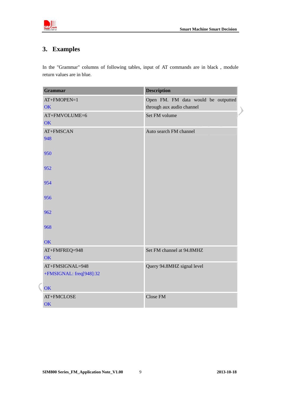<span id="page-8-0"></span>

# **3. Examples**

In the "Grammar" columns of following tables, input of AT commands are in black , module return values are in blue.

| <b>Grammar</b>                                   | <b>Description</b>                                               |
|--------------------------------------------------|------------------------------------------------------------------|
| AT+FMOPEN=1<br>OK                                | Open FM. FM data would be outputted<br>through aux audio channel |
| AT+FMVOLUME=6<br>OK                              | Set FM volume                                                    |
| AT+FMSCAN<br>948                                 | Auto search FM channel                                           |
| 950                                              |                                                                  |
| 952                                              |                                                                  |
| 954                                              |                                                                  |
| 956                                              |                                                                  |
| 962                                              |                                                                  |
| 968                                              |                                                                  |
| <b>OK</b>                                        |                                                                  |
| AT+FMFREQ=948<br><b>OK</b>                       | Set FM channel at 94.8MHZ                                        |
| AT+FMSIGNAL=948<br>+FMSIGNAL: freq[948]:32<br>OK | Query 94.8MHZ signal level                                       |
| AT+FMCLOSE<br>OK                                 | Close FM                                                         |

 $\big($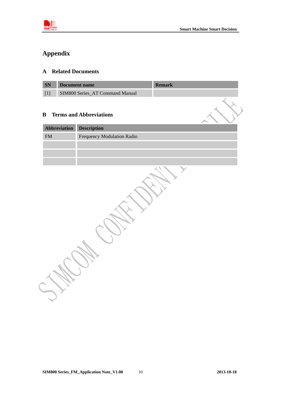<span id="page-9-0"></span>

# **Appendix**

## **A Related Documents**

| <b>SN</b> | Document name                   | <b>Remark</b> |
|-----------|---------------------------------|---------------|
|           | SIM800 Series AT Command Manual |               |

#### **B Terms and Abbreviations**

| <b>Abbreviation Description</b> |                            |  |  |
|---------------------------------|----------------------------|--|--|
| <b>FM</b>                       | Frequency Modulation Radio |  |  |
|                                 |                            |  |  |
|                                 |                            |  |  |
|                                 |                            |  |  |